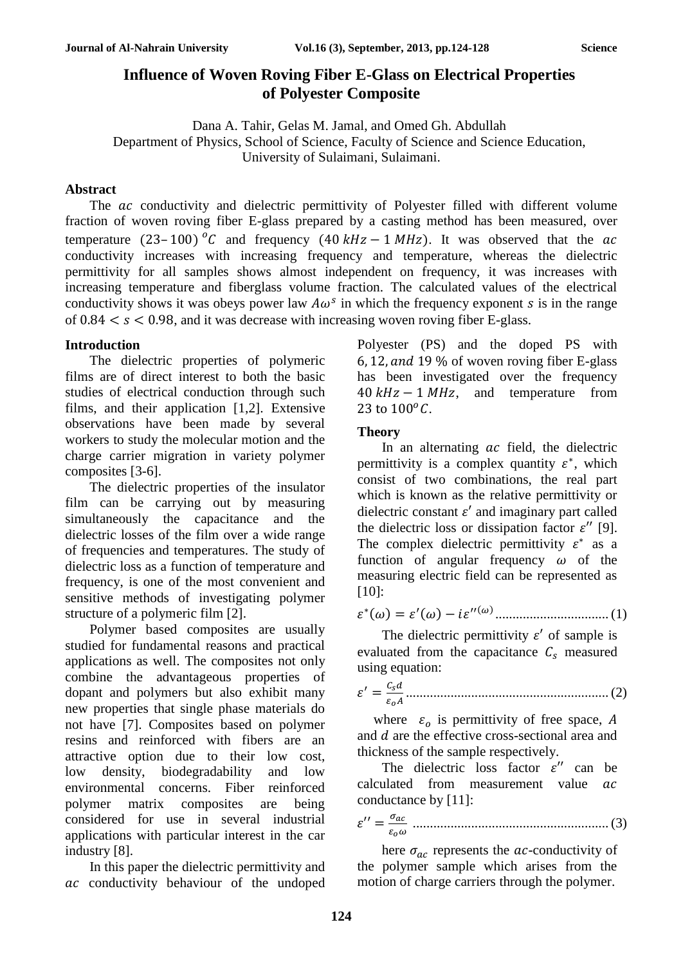# **Influence of Woven Roving Fiber E-Glass on Electrical Properties of Polyester Composite**

Dana A. Tahir, Gelas M. Jamal, and Omed Gh. Abdullah Department of Physics, School of Science, Faculty of Science and Science Education, University of Sulaimani, Sulaimani.

## **Abstract**

The ac conductivity and dielectric permittivity of Polyester filled with different volume fraction of woven roving fiber E-glass prepared by a casting method has been measured, over temperature (23–100) <sup>o</sup>C and frequency (40  $kHz - 1$  MHz). It was observed that the ac conductivity increases with increasing frequency and temperature, whereas the dielectric permittivity for all samples shows almost independent on frequency, it was increases with increasing temperature and fiberglass volume fraction. The calculated values of the electrical conductivity shows it was obeys power law  $A\omega^s$  in which the frequency exponent s is in the range of  $0.84 < s < 0.98$ , and it was decrease with increasing woven roving fiber E-glass.

## **Introduction**

The dielectric properties of polymeric films are of direct interest to both the basic studies of electrical conduction through such films, and their application [1,2]. Extensive observations have been made by several workers to study the molecular motion and the charge carrier migration in variety polymer composites [3-6].

The dielectric properties of the insulator film can be carrying out by measuring simultaneously the capacitance and the dielectric losses of the film over a wide range of frequencies and temperatures. The study of dielectric loss as a function of temperature and frequency, is one of the most convenient and sensitive methods of investigating polymer structure of a polymeric film [2].

Polymer based composites are usually studied for fundamental reasons and practical applications as well. The composites not only combine the advantageous properties of dopant and polymers but also exhibit many new properties that single phase materials do not have [7]. Composites based on polymer resins and reinforced with fibers are an attractive option due to their low cost, low density, biodegradability and low environmental concerns. Fiber reinforced polymer matrix composites are being considered for use in several industrial applications with particular interest in the car industry [8].

In this paper the dielectric permittivity and ac conductivity behaviour of the undoped Polyester (PS) and the doped PS with 6, 12, and 19 % of woven roving fiber E-glass has been investigated over the frequency  $40 kHz - 1 MHz$ , and temperature from 23 to  $100^{\circ}$ C.

## **Theory**

In an alternating  $ac$  field, the dielectric permittivity is a complex quantity  $\varepsilon^*$ , which consist of two combinations, the real part which is known as the relative permittivity or dielectric constant  $\varepsilon'$  and imaginary part called the dielectric loss or dissipation factor  $\varepsilon$ " [9]. The complex dielectric permittivity  $\varepsilon^*$  as a function of angular frequency  $\omega$  of the measuring electric field can be represented as [10]:

 ∗ () = ′ () − ′′() ................................. (1)

The dielectric permittivity  $\varepsilon'$  of sample is evaluated from the capacitance  $C_s$  measured using equation:

 ′ = ........................................................... (2)

where  $\varepsilon_o$  is permittivity of free space, A and *d* are the effective cross-sectional area and thickness of the sample respectively.

The dielectric loss factor  $\varepsilon''$  can be calculated from measurement value ac conductance by [11]:

′′ = ......................................................... (3)

here  $\sigma_{ac}$  represents the *ac*-conductivity of the polymer sample which arises from the motion of charge carriers through the polymer.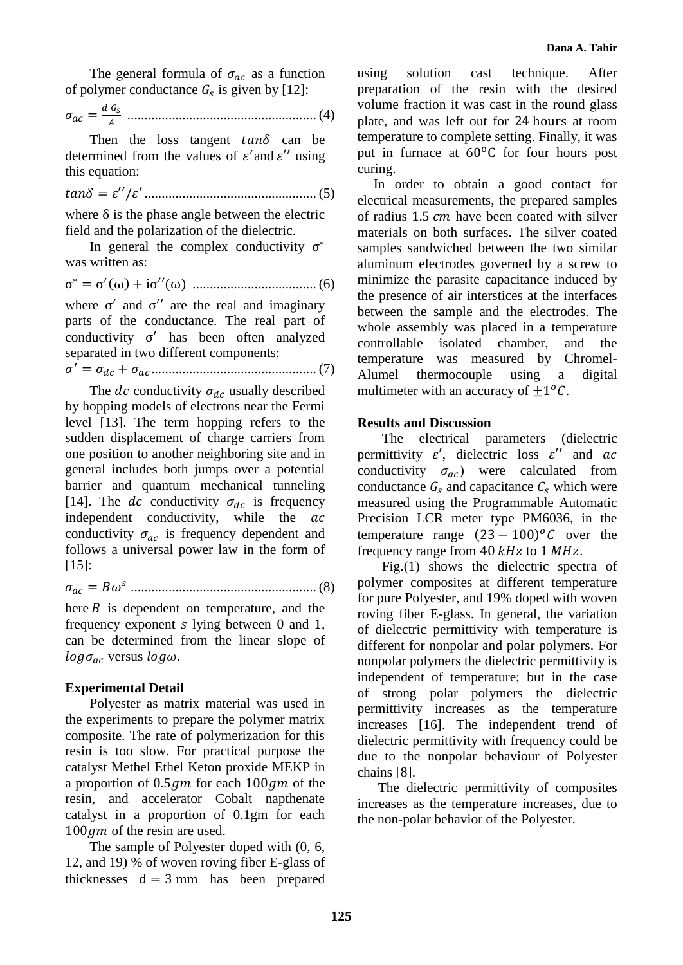The general formula of  $\sigma_{ac}$  as a function of polymer conductance  $G_s$  is given by [12]:

 = ....................................................... (4)

Then the loss tangent  $tan\delta$  can be determined from the values of  $\varepsilon'$  and  $\varepsilon''$  using this equation:

= ′′/ ′ .................................................. (5)

where  $\delta$  is the phase angle between the electric field and the polarization of the dielectric.

In general the complex conductivity  $\sigma^*$ was written as:

σ <sup>∗</sup> = σ ′ (ω) + iσ′′(ω) .................................... (6)

where  $\sigma'$  and  $\sigma''$  are the real and imaginary parts of the conductance. The real part of conductivity  $\sigma'$  has been often analyzed separated in two different components:

 ′ = + ................................................ (7)

The dc conductivity  $\sigma_{dc}$  usually described by hopping models of electrons near the Fermi level [13]. The term hopping refers to the sudden displacement of charge carriers from one position to another neighboring site and in general includes both jumps over a potential barrier and quantum mechanical tunneling [14]. The dc conductivity  $\sigma_{dc}$  is frequency independent conductivity, while the ac conductivity  $\sigma_{ac}$  is frequency dependent and follows a universal power law in the form of [15]:

= ...................................................... (8)

here  $B$  is dependent on temperature, and the frequency exponent  $s$  lying between 0 and 1, can be determined from the linear slope of  $log \sigma_{ac}$  versus  $log \omega$ .

#### **Experimental Detail**

Polyester as matrix material was used in the experiments to prepare the polymer matrix composite. The rate of polymerization for this resin is too slow. For practical purpose the catalyst Methel Ethel Keton proxide MEKP in a proportion of  $0.5 \, \text{g}$  for each  $100 \, \text{g}$  of the resin, and accelerator Cobalt napthenate catalyst in a proportion of 0.1gm for each  $100$  *gm* of the resin are used.

The sample of Polyester doped with (0, 6, 12, and 19) % of woven roving fiber E-glass of thicknesses  $d = 3$  mm has been prepared using solution cast technique. After preparation of the resin with the desired volume fraction it was cast in the round glass plate, and was left out for 24 hours at room temperature to complete setting. Finally, it was put in furnace at  $60^{\circ}$ C for four hours post curing.

In order to obtain a good contact for electrical measurements, the prepared samples of radius  $1.5$  cm have been coated with silver materials on both surfaces. The silver coated samples sandwiched between the two similar aluminum electrodes governed by a screw to minimize the parasite capacitance induced by the presence of air interstices at the interfaces between the sample and the electrodes. The whole assembly was placed in a temperature controllable isolated chamber, and the temperature was measured by Chromel-Alumel thermocouple using a digital multimeter with an accuracy of  $\pm 1$ <sup>o</sup>C.

### **Results and Discussion**

The electrical parameters (dielectric permittivity  $\varepsilon'$ , dielectric loss  $\varepsilon''$  and ac conductivity  $\sigma_{ac}$ ) were calculated from conductance  $G_s$  and capacitance  $C_s$  which were measured using the Programmable Automatic Precision LCR meter type PM6036, in the temperature range  $(23 - 100)^{o}$ C over the frequency range from 40  $kHz$  to 1  $MHz$ .

Fig.(1) shows the dielectric spectra of polymer composites at different temperature for pure Polyester, and 19% doped with woven roving fiber E-glass. In general, the variation of dielectric permittivity with temperature is different for nonpolar and polar polymers. For nonpolar polymers the dielectric permittivity is independent of temperature; but in the case of strong polar polymers the dielectric permittivity increases as the temperature increases [16]. The independent trend of dielectric permittivity with frequency could be due to the nonpolar behaviour of Polyester chains [8].

The dielectric permittivity of composites increases as the temperature increases, due to the non-polar behavior of the Polyester.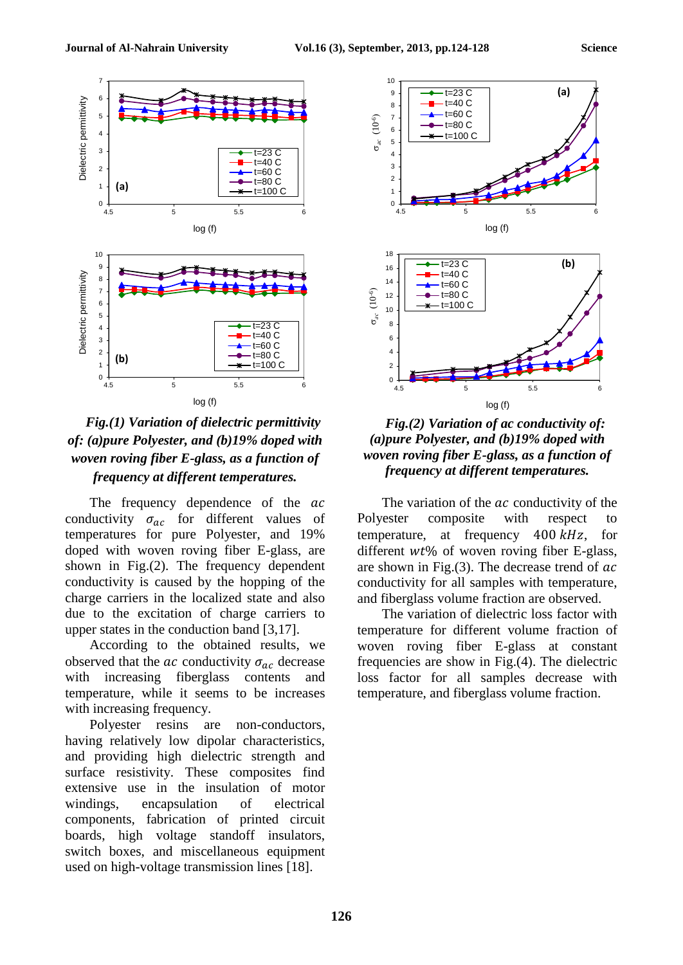

## *Fig.(1) Variation of dielectric permittivity of: (a)pure Polyester, and (b)19% doped with woven roving fiber E-glass, as a function of frequency at different temperatures.*

The frequency dependence of the  $ac$ conductivity  $\sigma_{ac}$  for different values of temperatures for pure Polyester, and 19% doped with woven roving fiber E-glass, are shown in Fig.(2). The frequency dependent conductivity is caused by the hopping of the charge carriers in the localized state and also due to the excitation of charge carriers to upper states in the conduction band [3,17].

According to the obtained results, we observed that the *ac* conductivity  $\sigma_{ac}$  decrease with increasing fiberglass contents and temperature, while it seems to be increases with increasing frequency.

Polyester resins are non-conductors, having relatively low dipolar characteristics, and providing high dielectric strength and surface resistivity. These composites find extensive use in the insulation of motor windings, encapsulation of electrical components, fabrication of printed circuit boards, high voltage standoff insulators, switch boxes, and miscellaneous equipment used on high-voltage transmission lines [18].



*Fig.(2) Variation of ac conductivity of: (a)pure Polyester, and (b)19% doped with woven roving fiber E-glass, as a function of frequency at different temperatures.*

The variation of the  $ac$  conductivity of the Polyester composite with respect to temperature, at frequency  $400 \, kHz$ , for different  $wt\%$  of woven roving fiber E-glass, are shown in Fig. $(3)$ . The decrease trend of  $ac$ conductivity for all samples with temperature, and fiberglass volume fraction are observed.

The variation of dielectric loss factor with temperature for different volume fraction of woven roving fiber E-glass at constant frequencies are show in Fig.(4). The dielectric loss factor for all samples decrease with temperature, and fiberglass volume fraction.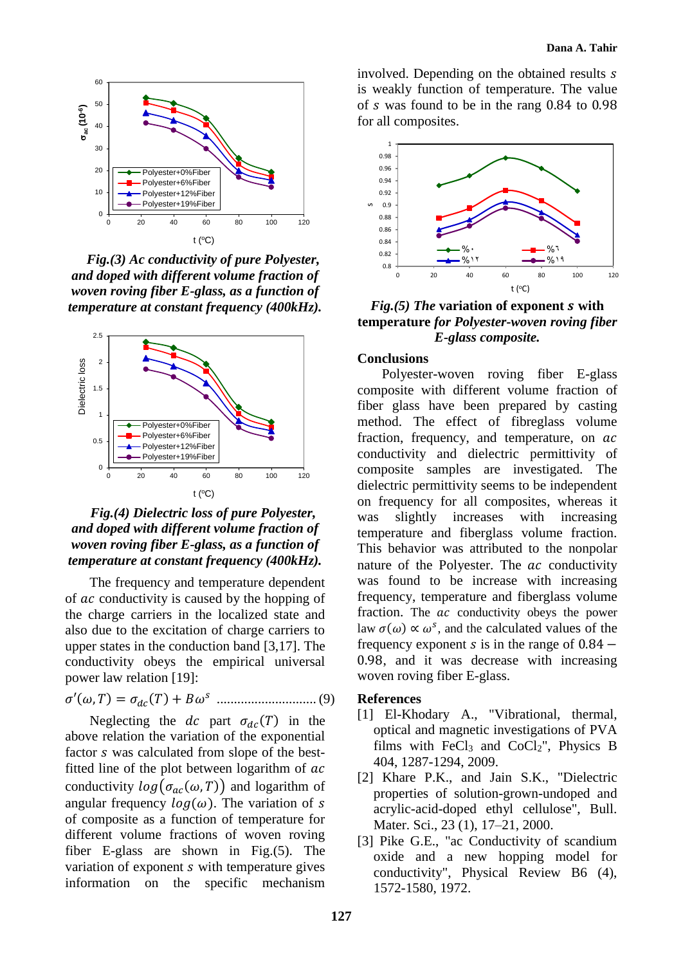

*Fig.(3) Ac conductivity of pure Polyester, and doped with different volume fraction of woven roving fiber E-glass, as a function of temperature at constant frequency (400kHz).*



*Fig.(4) Dielectric loss of pure Polyester, and doped with different volume fraction of woven roving fiber E-glass, as a function of temperature at constant frequency (400kHz).*

The frequency and temperature dependent of *ac* conductivity is caused by the hopping of the charge carriers in the localized state and also due to the excitation of charge carriers to upper states in the conduction band [3,17]. The conductivity obeys the empirical universal power law relation [19]:

′(, ) = () + ............................. (9)

Neglecting the dc part  $\sigma_{dc}(T)$  in the above relation the variation of the exponential factor *s* was calculated from slope of the bestfitted line of the plot between logarithm of  $ac$ conductivity  $log(\sigma_{ac}(\omega, T))$  and logarithm of angular frequency  $log(\omega)$ . The variation of s of composite as a function of temperature for different volume fractions of woven roving fiber E-glass are shown in Fig.(5). The variation of exponent *s* with temperature gives information on the specific mechanism involved. Depending on the obtained results is weakly function of temperature. The value of  $s$  was found to be in the rang  $0.84$  to  $0.98$ for all composites.



*Fig.(5) The* **variation of exponent with temperature** *for Polyester-woven roving fiber E-glass composite.*

#### **Conclusions**

Polyester-woven roving fiber E-glass composite with different volume fraction of fiber glass have been prepared by casting method. The effect of fibreglass volume fraction, frequency, and temperature, on  $ac$ conductivity and dielectric permittivity of composite samples are investigated. The dielectric permittivity seems to be independent on frequency for all composites, whereas it was slightly increases with increasing temperature and fiberglass volume fraction. This behavior was attributed to the nonpolar nature of the Polyester. The  $ac$  conductivity was found to be increase with increasing frequency, temperature and fiberglass volume fraction. The ac conductivity obeys the power law  $\sigma(\omega) \propto \omega^s$ , and the calculated values of the frequency exponent  $s$  is in the range of 0.84  $-$ 0.98, and it was decrease with increasing woven roving fiber E-glass.

#### **References**

- [1] El-Khodary A., "Vibrational, thermal, optical and magnetic investigations of PVA films with FeCl<sub>3</sub> and CoCl<sub>2</sub>", Physics B 404, 1287-1294, 2009.
- [2] Khare P.K., and Jain S.K., "Dielectric properties of solution-grown-undoped and acrylic-acid-doped ethyl cellulose", Bull. Mater. Sci., 23 (1), 17–21, 2000.
- [3] Pike G.E., "ac Conductivity of scandium oxide and a new hopping model for conductivity", Physical Review B6 (4), 1572-1580, 1972.